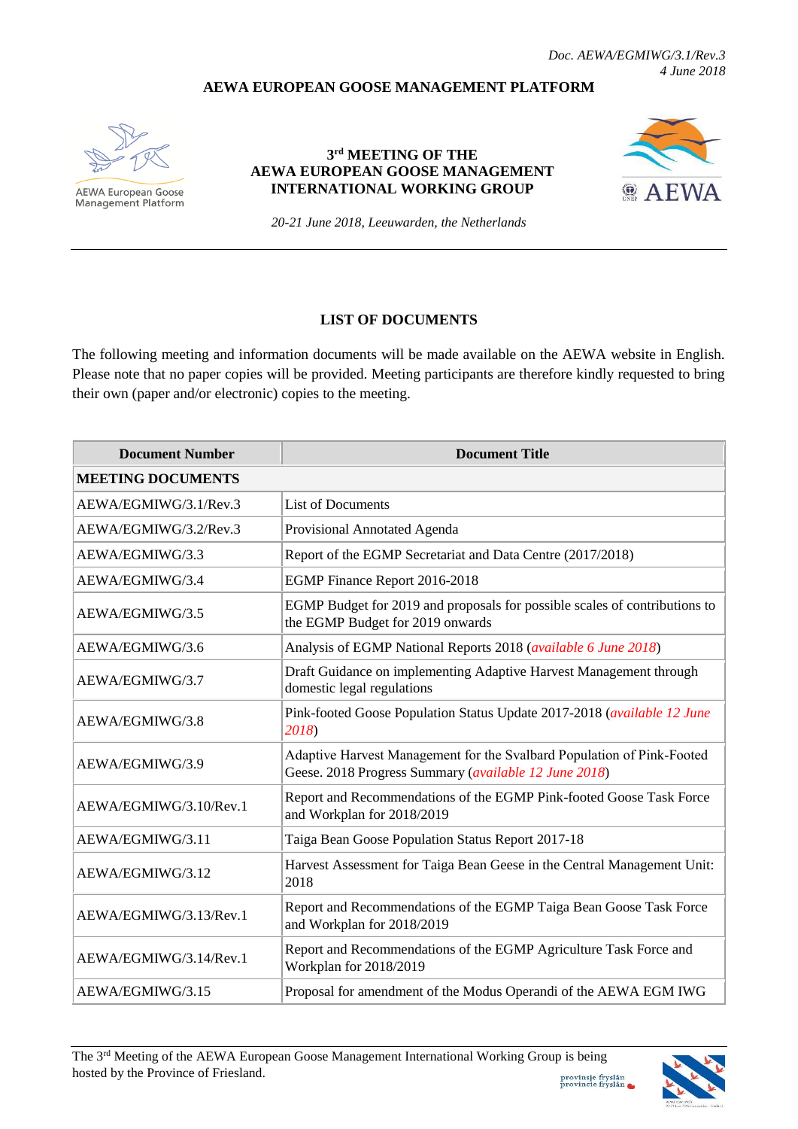## **AEWA EUROPEAN GOOSE MANAGEMENT PLATFORM**



**AEWA European Goose Management Platform** 

## **3 rd MEETING OF THE AEWA EUROPEAN GOOSE MANAGEMENT INTERNATIONAL WORKING GROUP**



*20-21 June 2018, Leeuwarden, the Netherlands*

## **LIST OF DOCUMENTS**

The following meeting and information documents will be made available on the AEWA website in English. Please note that no paper copies will be provided. Meeting participants are therefore kindly requested to bring their own (paper and/or electronic) copies to the meeting.

| <b>Document Number</b>   | <b>Document Title</b>                                                                                                           |
|--------------------------|---------------------------------------------------------------------------------------------------------------------------------|
| <b>MEETING DOCUMENTS</b> |                                                                                                                                 |
| AEWA/EGMIWG/3.1/Rev.3    | <b>List of Documents</b>                                                                                                        |
| AEWA/EGMIWG/3.2/Rev.3    | Provisional Annotated Agenda                                                                                                    |
| AEWA/EGMIWG/3.3          | Report of the EGMP Secretariat and Data Centre (2017/2018)                                                                      |
| AEWA/EGMIWG/3.4          | EGMP Finance Report 2016-2018                                                                                                   |
| AEWA/EGMIWG/3.5          | EGMP Budget for 2019 and proposals for possible scales of contributions to<br>the EGMP Budget for 2019 onwards                  |
| AEWA/EGMIWG/3.6          | Analysis of EGMP National Reports 2018 (available 6 June 2018)                                                                  |
| AEWA/EGMIWG/3.7          | Draft Guidance on implementing Adaptive Harvest Management through<br>domestic legal regulations                                |
| AEWA/EGMIWG/3.8          | Pink-footed Goose Population Status Update 2017-2018 (available 12 June<br>2018)                                                |
| AEWA/EGMIWG/3.9          | Adaptive Harvest Management for the Svalbard Population of Pink-Footed<br>Geese. 2018 Progress Summary (available 12 June 2018) |
| AEWA/EGMIWG/3.10/Rev.1   | Report and Recommendations of the EGMP Pink-footed Goose Task Force<br>and Workplan for 2018/2019                               |
| AEWA/EGMIWG/3.11         | Taiga Bean Goose Population Status Report 2017-18                                                                               |
| AEWA/EGMIWG/3.12         | Harvest Assessment for Taiga Bean Geese in the Central Management Unit:<br>2018                                                 |
| AEWA/EGMIWG/3.13/Rev.1   | Report and Recommendations of the EGMP Taiga Bean Goose Task Force<br>and Workplan for 2018/2019                                |
| AEWA/EGMIWG/3.14/Rev.1   | Report and Recommendations of the EGMP Agriculture Task Force and<br>Workplan for 2018/2019                                     |
| AEWA/EGMIWG/3.15         | Proposal for amendment of the Modus Operandi of the AEWA EGM IWG                                                                |